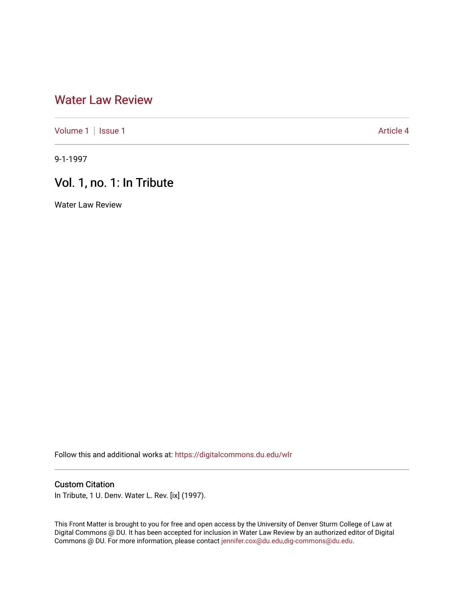## [Water Law Review](https://digitalcommons.du.edu/wlr)

[Volume 1](https://digitalcommons.du.edu/wlr/vol1) | [Issue 1](https://digitalcommons.du.edu/wlr/vol1/iss1) Article 4

9-1-1997

## Vol. 1, no. 1: In Tribute

Water Law Review

Follow this and additional works at: [https://digitalcommons.du.edu/wlr](https://digitalcommons.du.edu/wlr?utm_source=digitalcommons.du.edu%2Fwlr%2Fvol1%2Fiss1%2F4&utm_medium=PDF&utm_campaign=PDFCoverPages) 

## Custom Citation

In Tribute, 1 U. Denv. Water L. Rev. [ix] (1997).

This Front Matter is brought to you for free and open access by the University of Denver Sturm College of Law at Digital Commons @ DU. It has been accepted for inclusion in Water Law Review by an authorized editor of Digital Commons @ DU. For more information, please contact [jennifer.cox@du.edu,dig-commons@du.edu.](mailto:jennifer.cox@du.edu,dig-commons@du.edu)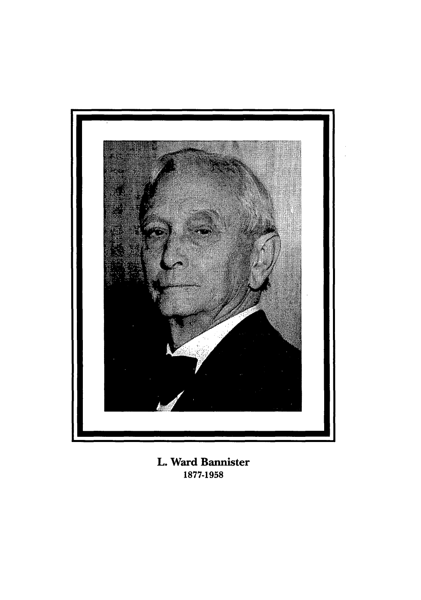

L. Ward Bannister **1877-1958**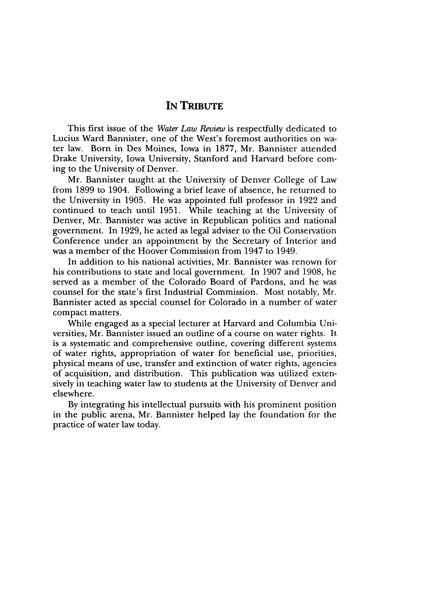## IN **TRIBUTE**

This first issue of the *Water Law Review* is respectfully dedicated to Lucius Ward Bannister, one of the West's foremost authorities on water law. Born in Des Moines, Iowa in 1877, Mr. Bannister attended Drake University, Iowa University, Stanford and Harvard before coming to the University of Denver.

Mr. Bannister taught at the University of Denver College of Law from 1899 to 1904. Following a brief leave of absence, he returned to the University in 1905. He was appointed full professor in 1922 and continued to teach until 1951. While teaching at the University of Denver, Mr. Bannister was active in Republican politics and national government. In 1929, he acted as legal adviser to the Oil Conservation Conference under an appointment by the Secretary of Interior and was a member of the Hoover Commission from 1947 to 1949.

In addition to his national activities, Mr. Bannister was renown for his contributions to state and local government. In 1907 and 1908, he served as a member of the Colorado Board of Pardons, and he was counsel for the state's first Industrial Commission. Most notably, Mr. Bannister acted as special counsel for Colorado in a number of water compact matters.

While engaged as a special lecturer at Harvard and Columbia Universities, Mr. Bannister issued an outline of a course on water rights. It is a systematic and comprehensive outline, covering different systems of water rights, appropriation of water for beneficial use, priorities, physical means of use, transfer and extinction of water rights, agencies of acquisition, and distribution. This publication was utilized extensively in teaching water law to students at the University of Denver and elsewhere.

By integrating his intellectual pursuits with his prominent position in the public arena, Mr. Bannister helped lay the foundation for the practice of water law today.